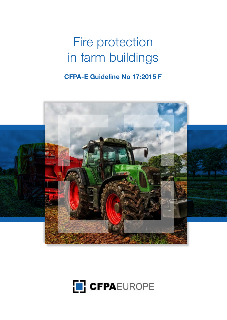## Fire protection in farm buildings

### **CFPA-E Guideline No 17:2015 F**



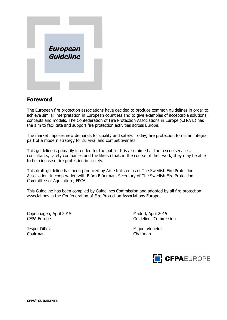

#### **Foreword**

The European fire protection associations have decided to produce common guidelines in order to achieve similar interpretation in European countries and to give examples of acceptable solutions, concepts and models. The Confederation of Fire Protection Associations in Europe (CFPA E) has the aim to facilitate and support fire protection activities across Europe.

The market imposes new demands for quality and safety. Today, fire protection forms an integral part of a modern strategy for survival and competitiveness.

This guideline is primarily intended for the public. It is also aimed at the rescue services, consultants, safety companies and the like so that, in the course of their work, they may be able to help increase fire protection in society.

This draft guideline has been produced by Arne Kallstenius of The Swedish Fire Protection Association, in cooperation with Björn Björkman, Secretary of The Swedish Fire Protection Committee of Agriculture, FPCA.

This Guideline has been compiled by Guidelines Commission and adopted by all fire protection associations in the Confederation of Fire Protection Associations Europe.

Copenhagen, April 2015 Madrid, April 2015 CFPA Europe **Guidelines** Commission

Chairman Chairman

Jesper Ditlev Miguel Vidueira

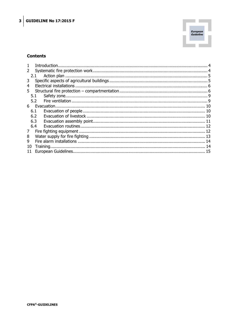

#### **Contents**

|     | 2.1 |  |  |  |  |
|-----|-----|--|--|--|--|
| 3   |     |  |  |  |  |
| 4   |     |  |  |  |  |
| 5.  |     |  |  |  |  |
|     | 5.1 |  |  |  |  |
|     | 5.2 |  |  |  |  |
| 6 - |     |  |  |  |  |
|     | 6.1 |  |  |  |  |
|     | 6.2 |  |  |  |  |
|     | 6.3 |  |  |  |  |
|     | 6.4 |  |  |  |  |
| 7   |     |  |  |  |  |
| 8   |     |  |  |  |  |
| 9   |     |  |  |  |  |
| 10  |     |  |  |  |  |
|     |     |  |  |  |  |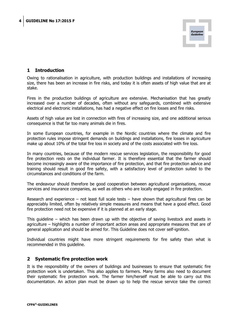

#### **1 Introduction**

Owing to rationalisation in agriculture, with production buildings and installations of increasing size, there has been an increase in fire risks, and today it is often assets of high value that are at stake.

Fires in the production buildings of agriculture are extensive. Mechanisation that has greatly increased over a number of decades, often without any safeguards, combined with extensive electrical and electronic installations, has had a negative effect on fire losses and fire risks.

Assets of high value are lost in connection with fires of increasing size, and one additional serious consequence is that far too many animals die in fires.

In some European countries, for example in the Nordic countries where the climate and fire protection rules impose stringent demands on buildings and installations, fire losses in agriculture make up about 10% of the total fire loss in society and of the costs associated with fire loss.

In many countries, because of the modern rescue services legislation, the responsibility for good fire protection rests on the individual farmer. It is therefore essential that the farmer should become increasingly aware of the importance of fire protection, and that fire protection advice and training should result in good fire safety, with a satisfactory level of protection suited to the circumstances and conditions of the farm.

The endeavour should therefore be good cooperation between agricultural organisations, rescue services and insurance companies, as well as others who are locally engaged in fire protection.

Research and experience – not least full scale tests – have shown that agricultural fires can be appreciably limited, often by relatively simple measures and means that have a good effect. Good fire protection need not be expensive if it is planned at an early stage.

This guideline – which has been drawn up with the objective of saving livestock and assets in agriculture – highlights a number of important action areas and appropriate measures that are of general application and should be aimed for. This Guideline does not cover self-ignition.

Individual countries might have more stringent requirements for fire safety than what is recommended in this guideline.

#### **2 Systematic fire protection work**

It is the responsibility of the owners of buildings and businesses to ensure that systematic fire protection work is undertaken. This also applies to farmers. Many farms also need to document their systematic fire protection work. The farmer him/herself must be able to carry out this documentation. An action plan must be drawn up to help the rescue service take the correct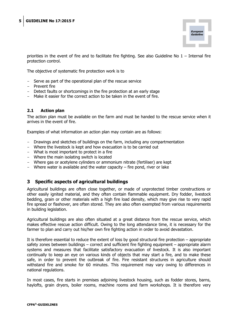

priorities in the event of fire and to facilitate fire fighting. See also Guideline No  $1$  – Internal fire protection control.

The objective of systematic fire protection work is to

- Serve as part of the operational plan of the rescue service
- Prevent fire
- Detect faults or shortcomings in the fire protection at an early stage
- Make it easier for the correct action to be taken in the event of fire.

#### **2.1 Action plan**

The action plan must be available on the farm and must be handed to the rescue service when it arrives in the event of fire.

Examples of what information an action plan may contain are as follows:

- Drawings and sketches of buildings on the farm, including any compartmentation
- Where the livestock is kept and how evacuation is to be carried out
- What is most important to protect in a fire
- Where the main isolating switch is located
- Where gas or acetylene cylinders or ammonium nitrate (fertiliser) are kept
- Where water is available and the water capacity  $-$  fire pond, river or lake

#### **3 Specific aspects of agricultural buildings**

Agricultural buildings are often close together, or made of unprotected timber constructions or other easily ignited material, and they often contain flammable equipment. Dry fodder, livestock bedding, grain or other materials with a high fire load density, which may give rise to very rapid fire spread or flashover, are often stored. They are also often exempted from various requirements in building legislation.

Agricultural buildings are also often situated at a great distance from the rescue service, which makes effective rescue action difficult. Owing to the long attendance time, it is necessary for the farmer to plan and carry out his/her own fire fighting action in order to avoid devastation.

It is therefore essential to reduce the extent of loss by good structural fire protection – appropriate safety zones between buildings – correct and sufficient fire fighting equipment – appropriate alarm systems and measures that facilitate satisfactory evacuation of livestock. It is also important continually to keep an eye on various kinds of objects that may start a fire, and to make these safe, in order to prevent the outbreak of fire. Fire resistant structures in agriculture should withstand fire and smoke for 60 minutes. This requirement may vary owing to differences in national regulations.

In most cases, fire starts in premises adjoining livestock housing, such as fodder stores, barns, haylofts, grain dryers, boiler rooms, machine rooms and farm workshops. It is therefore very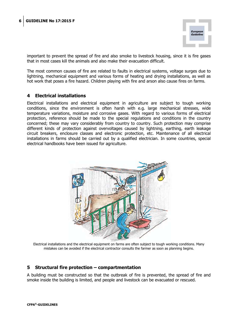

important to prevent the spread of fire and also smoke to livestock housing, since it is fire gases that in most cases kill the animals and also make their evacuation difficult.

The most common causes of fire are related to faults in electrical systems, voltage surges due to lightning, mechanical equipment and various forms of heating and drying installations, as well as hot work that poses a fire hazard. Children playing with fire and arson also cause fires on farms.

#### **4 Electrical installations**

Electrical installations and electrical equipment in agriculture are subject to tough working conditions, since the environment is often harsh with e.g. large mechanical stresses, wide temperature variations, moisture and corrosive gases. With regard to various forms of electrical protection, reference should be made to the special regulations and conditions in the country concerned; these may vary considerably from country to country. Such protection may comprise different kinds of protection against overvoltages caused by lightning, earthing, earth leakage circuit breakers, enclosure classes and electronic protection, etc. Maintenance of all electrical installations in farms should be carried out by a qualified electrician. In some countries, special electrical handbooks have been issued for agriculture.



Electrical installations and the electrical equipment on farms are often subject to tough working conditions. Many mistakes can be avoided if the electrical contractor consults the farmer as soon as planning begins.

#### **5 Structural fire protection – compartmentation**

A building must be constructed so that the outbreak of fire is prevented, the spread of fire and smoke inside the building is limited, and people and livestock can be evacuated or rescued.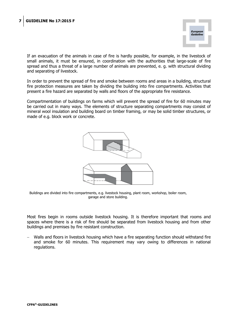

If an evacuation of the animals in case of fire is hardly possible, for example, in the livestock of small animals, it must be ensured, in coordination with the authorities that large-scale of fire spread and thus a threat of a large number of animals are prevented, e. g. with structural dividing and separating of livestock.

In order to prevent the spread of fire and smoke between rooms and areas in a building, structural fire protection measures are taken by dividing the building into fire compartments. Activities that present a fire hazard are separated by walls and floors of the appropriate fire resistance.

Compartmentation of buildings on farms which will prevent the spread of fire for 60 minutes may be carried out in many ways. The elements of structure separating compartments may consist of mineral wool insulation and building board on timber framing, or may be solid timber structures, or made of e.g. block work or concrete.



Buildings are divided into fire compartments, e.g. livestock housing, plant room, workshop, boiler room, garage and store building.

Most fires begin in rooms outside livestock housing. It is therefore important that rooms and spaces where there is a risk of fire should be separated from livestock housing and from other buildings and premises by fire resistant construction.

 Walls and floors in livestock housing which have a fire separating function should withstand fire and smoke for 60 minutes. This requirement may vary owing to differences in national regulations.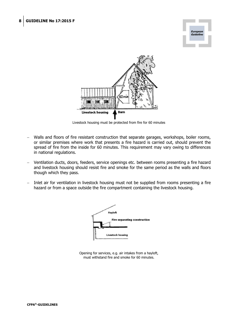



Livestock housing must be protected from fire for 60 minutes

- Walls and floors of fire resistant construction that separate garages, workshops, boiler rooms, or similar premises where work that presents a fire hazard is carried out, should prevent the spread of fire from the inside for 60 minutes. This requirement may vary owing to differences in national regulations.
- Ventilation ducts, doors, feeders, service openings etc. between rooms presenting a fire hazard and livestock housing should resist fire and smoke for the same period as the walls and floors though which they pass.
- Inlet air for ventilation in livestock housing must not be supplied from rooms presenting a fire hazard or from a space outside the fire compartment containing the livestock housing.



Opening for services, e.g. air intakes from a hayloft, must withstand fire and smoke for 60 minutes.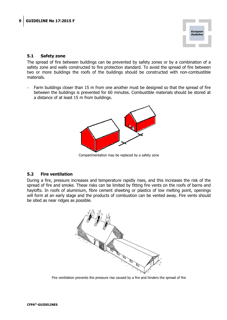

#### **5.1 Safety zone**

The spread of fire between buildings can be prevented by safety zones or by a combination of a safety zone and walls constructed to fire protection standard. To avoid the spread of fire between two or more buildings the roofs of the buildings should be constructed with non-combustible materials.

 Farm buildings closer than 15 m from one another must be designed so that the spread of fire between the buildings is prevented for 60 minutes. Combustible materials should be stored at a distance of at least 15 m from buildings.



Compartmentation may be replaced by a safety zone

#### **5.2 Fire ventilation**

During a fire, pressure increases and temperature rapidly rises, and this increases the risk of the spread of fire and smoke. These risks can be limited by fitting fire vents on the roofs of barns and haylofts. In roofs of aluminium, fibre cement sheeting or plastics of low melting point, openings will form at an early stage and the products of combustion can be vented away. Fire vents should be sited as near ridges as possible.



Fire ventilation prevents the pressure rise caused by a fire and hinders the spread of fire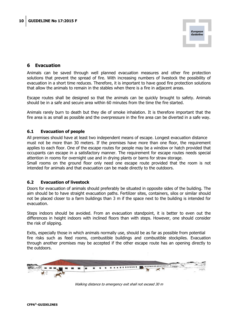

#### **6 Evacuation**

Animals can be saved through well planned evacuation measures and other fire protection solutions that prevent the spread of fire. With increasing numbers of livestock the possibility of evacuation in a short time reduces. Therefore, it is important to have good fire protection solutions that allow the animals to remain in the stables when there is a fire in adjacent areas.

Escape routes shall be designed so that the animals can be quickly brought to safety. Animals should be in a safe and secure area within 60 minutes from the time the fire started.

Animals rarely burn to death but they die of smoke inhalation. It is therefore important that the fire area is as small as possible and the overpressure in the fire area can be diverted in a safe way.

#### **6.1 Evacuation of people**

All premises should have at least two independent means of escape. Longest evacuation distance must not be more than 30 meters. If the premises have more than one floor, the requirement applies to each floor. One of the escape routes for people may be a window or hatch provided that occupants can escape in a satisfactory manner. The requirement for escape routes needs special attention in rooms for overnight use and in drying plants or barns for straw storage.

Small rooms on the ground floor only need one escape route provided that the room is not intended for animals and that evacuation can be made directly to the outdoors.

#### **6.2 Evacuation of livestock**

Doors for evacuation of animals should preferably be situated in opposite sides of the building. The aim should be to have straight evacuation paths. Fertilizer sites, containers, silos or similar should not be placed closer to a farm buildings than 3 m if the space next to the building is intended for evacuation.

Steps indoors should be avoided. From an evacuation standpoint, it is better to even out the differences in height indoors with inclined floors than with steps. However, one should consider the risk of slipping.

Exits, especially those in which animals normally use, should be as far as possible from potential fire risks such as feed rooms, combustible buildings and combustible stockpiles. Evacuation through another premises may be accepted if the other escape route has an opening directly to the outdoors.



Walking distance to emergency exit shall not exceed 30 m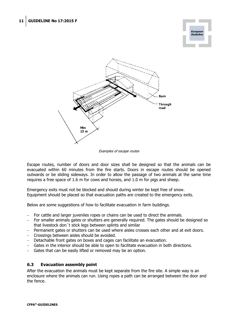



Examples of escape routes

Escape routes, number of doors and door sizes shall be designed so that the animals can be evacuated within 60 minutes from the fire starts. Doors in escape routes should be opened outwards or be sliding sideways. In order to allow the passage of two animals at the same time requires a free space of 1.6 m for cows and horses, and 1.0 m for pigs and sheep.

Emergency exits must not be blocked and should during winter be kept free of snow. Equipment should be placed so that evacuation paths are created to the emergency exits.

Below are some suggestions of how to facilitate evacuation in farm buildings.

- For cattle and larger juveniles ropes or chains can be used to direct the animals.
- For smaller animals gates or shutters are generally required. The gates should be designed so that livestock don´t stick legs between splints and similar
- Permanent gates or shutters can be used where aisles crosses each other and at exit doors.
- Crossings between aisles should be avoided.
- Detachable front gates on boxes and cages can facilitate an evacuation.
- Gates in the interior should be able to open to facilitate evacuation in both directions.
- Gates that can be easily lifted or removed may be an option.

#### **6.3 Evacuation assembly point**

After the evacuation the animals must be kept separate from the fire site. A simple way is an enclosure where the animals can run. Using ropes a path can be arranged between the door and the fence.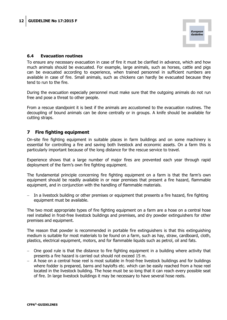

#### **6.4 Evacuation routines**

To ensure any necessary evacuation in case of fire it must be clarified in advance, which and how much animals should be evacuated. For example, large animals, such as horses, cattle and pigs can be evacuated according to experience, when trained personnel in sufficient numbers are available in case of fire. Small animals, such as chickens can hardly be evacuated because they tend to run to the fire.

During the evacuation especially personnel must make sure that the outgoing animals do not run free and pose a threat to other people.

From a rescue standpoint it is best if the animals are accustomed to the evacuation routines. The decoupling of bound animals can be done centrally or in groups. A knife should be available for cutting straps.

#### **7 Fire fighting equipment**

On-site fire fighting equipment in suitable places in farm buildings and on some machinery is essential for controlling a fire and saving both livestock and economic assets. On a farm this is particularly important because of the long distance for the rescue service to travel.

Experience shows that a large number of major fires are prevented each year through rapid deployment of the farm's own fire fighting equipment.

The fundamental principle concerning fire fighting equipment on a farm is that the farm's own equipment should be readily available in or near premises that present a fire hazard, flammable equipment, and in conjunction with the handling of flammable materials.

 In a livestock building or other premises or equipment that presents a fire hazard, fire fighting equipment must be available.

The two most appropriate types of fire fighting equipment on a farm are a hose on a central hose reel installed in frost-free livestock buildings and premises, and dry powder extinguishers for other premises and equipment.

The reason that powder is recommended in portable fire extinguishers is that this extinguishing medium is suitable for most materials to be found on a farm, such as hay, straw, cardboard, cloth, plastics, electrical equipment, motors, and for flammable liquids such as petrol, oil and fats.

- One good rule is that the distance to fire fighting equipment in a building where activity that presents a fire hazard is carried out should not exceed 15 m.
- A hose on a central hose reel is most suitable in frost-free livestock buildings and for buildings where fodder is prepared, barns and haylofts etc. which can be easily reached from a hose reel located in the livestock building. The hose must be so long that it can reach every possible seat of fire. In large livestock buildings it may be necessary to have several hose reels.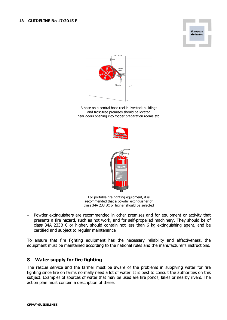



A hose on a central hose reel in livestock buildings and frost-free premises should be located near doors opening into fodder preparation rooms etc.





For portable fire fighting equipment, it is recommended that a powder extinguisher of class 34A 233 BC or higher should be selected

 Powder extinguishers are recommended in other premises and for equipment or activity that presents a fire hazard, such as hot work, and for self-propelled machinery. They should be of class 34A 233B C or higher, should contain not less than 6 kg extinguishing agent, and be certified and subject to regular maintenance

To ensure that fire fighting equipment has the necessary reliability and effectiveness, the equipment must be maintained according to the national rules and the manufacturer's instructions.

#### **8 Water supply for fire fighting**

The rescue service and the farmer must be aware of the problems in supplying water for fire fighting since fire on farms normally need a lot of water. It is best to consult the authorities on this subject. Examples of sources of water that may be used are fire ponds, lakes or nearby rivers. The action plan must contain a description of these.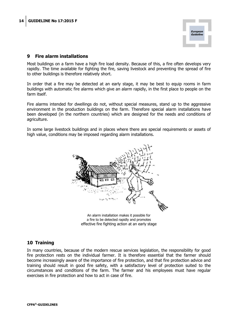

#### **9 Fire alarm installations**

Most buildings on a farm have a high fire load density. Because of this, a fire often develops very rapidly. The time available for fighting the fire, saving livestock and preventing the spread of fire to other buildings is therefore relatively short.

In order that a fire may be detected at an early stage, it may be best to equip rooms in farm buildings with automatic fire alarms which give an alarm rapidly, in the first place to people on the farm itself.

Fire alarms intended for dwellings do not, without special measures, stand up to the aggressive environment in the production buildings on the farm. Therefore special alarm installations have been developed (in the northern countries) which are designed for the needs and conditions of agriculture.

In some large livestock buildings and in places where there are special requirements or assets of high value, conditions may be imposed regarding alarm installations.



a fire to be detected rapidly and promotes effective fire fighting action at an early stage

#### **10 Training**

In many countries, because of the modern rescue services legislation, the responsibility for good fire protection rests on the individual farmer. It is therefore essential that the farmer should become increasingly aware of the importance of fire protection, and that fire protection advice and training should result in good fire safety, with a satisfactory level of protection suited to the circumstances and conditions of the farm. The farmer and his employees must have regular exercises in fire protection and how to act in case of fire.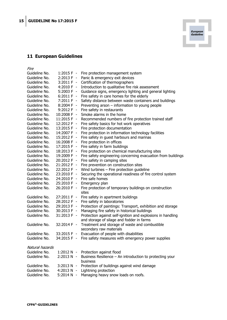#### **11 European Guidelines**

| <i>Fire</i>                    |                            |                                                                |
|--------------------------------|----------------------------|----------------------------------------------------------------|
| Guideline No.                  | $1:2015 F -$               | Fire protection management system                              |
| Guideline No.                  | 2:2013 F -                 | Panic & emergency exit devices                                 |
| Guideline No.                  | $3:2011 F -$               | Certification of thermographers                                |
| Guideline No.                  | 4:2010 $F -$               | Introduction to qualitative fire risk assessment               |
| Guideline No.                  | $5:2003 F -$               | Guidance signs, emergency lighting and general lighting        |
| Guideline No.                  | $6:2011 F -$               | Fire safety in care homes for the elderly                      |
| Guideline No.                  | 7:2011 F -                 | Safety distance between waste containers and buildings         |
| Guideline No.                  | $8:2004 F -$               | Preventing arson $-$ information to young people               |
| Guideline No.                  | $9:2012 F -$               | Fire safety in restaurants                                     |
| Guideline No.                  | 10:2008 F -                | Smoke alarms in the home                                       |
| Guideline No.                  | 11:2015 F -                | Recommended numbers of fire protection trained staff           |
| Guideline No.                  | 12:2012 F -                | Fire safety basics for hot work operatives                     |
| Guideline No.                  | $13:2015 F -$              | Fire protection documentation                                  |
| Guideline No.                  | 14:2007 F -                | Fire protection in information technology facilities           |
| Guideline No.                  | 15:2012 F -                | Fire safety in guest harbours and marinas                      |
| Guideline No.                  | 16:2008 F -                | Fire protection in offices                                     |
| Guideline No.                  | 17:2015 F -                | Fire safety in farm buildings                                  |
| Guideline No.                  | 18:2013 F -                | Fire protection on chemical manufacturing sites                |
| Guideline No.                  | 19:2009 F -                | Fire safety engineering concerning evacuation from buildings   |
| Guideline No.                  | 20:2012 F -                | Fire safety in camping sites                                   |
| Guideline No.                  | 21:2012 F -                | Fire prevention on construction sites                          |
| Guideline No.                  | 22:2012 F -                | Wind turbines - Fire protection guideline                      |
| Guideline No.                  | 23:2010 F -                | Securing the operational readiness of fire control system      |
| Guideline No.                  | 24:2010 F -                | Fire safe homes                                                |
| Guideline No.                  | 25:2010 F -                | Emergency plan                                                 |
| Guideline No.                  | 26:2010 F -                | Fire protection of temporary buildings on construction         |
|                                |                            | sites                                                          |
| Guideline No.                  | 27:2011 F -                | Fire safety in apartment buildings                             |
| Guideline No.                  | 28:2012 F -                | Fire safety in laboratories                                    |
| Guideline No.                  | 29:2013 F -                | Protection of paintings: Transport, exhibition and storage     |
| Guideline No.                  | 30:2013 F -                | Managing fire safety in historical buildings                   |
| Guideline No.                  | $31:2013 F -$              | Protection against self-ignition and explosions in handling    |
|                                |                            | and storage of silage and fodder in farms                      |
| Guideline No.                  | 32:2014 F -                | Treatment and storage of waste and combustible                 |
|                                |                            | secondary raw materials                                        |
| Guideline No.                  | 33:2015 F -                | Evacuation of people with disabilities                         |
| Guideline No.                  |                            | 34:2015 F - Fire safety measures with emergency power supplies |
|                                |                            |                                                                |
| Natural hazards                |                            |                                                                |
| Guideline No.                  | $1:2012 N -$               | Protection against flood                                       |
| Guideline No.                  | $2:2013 N -$               | Business Resilience - An introduction to protecting your       |
|                                |                            | business                                                       |
| Guideline No.<br>Guideline No. | 3:2013 N -<br>$4:2013 N -$ | Protection of buildings against wind damage                    |
| Guideline No.                  | $5:2014 N -$               | Lightning protection<br>Managing heavy snow loads on roofs.    |
|                                |                            |                                                                |

*European<br>Guideline*